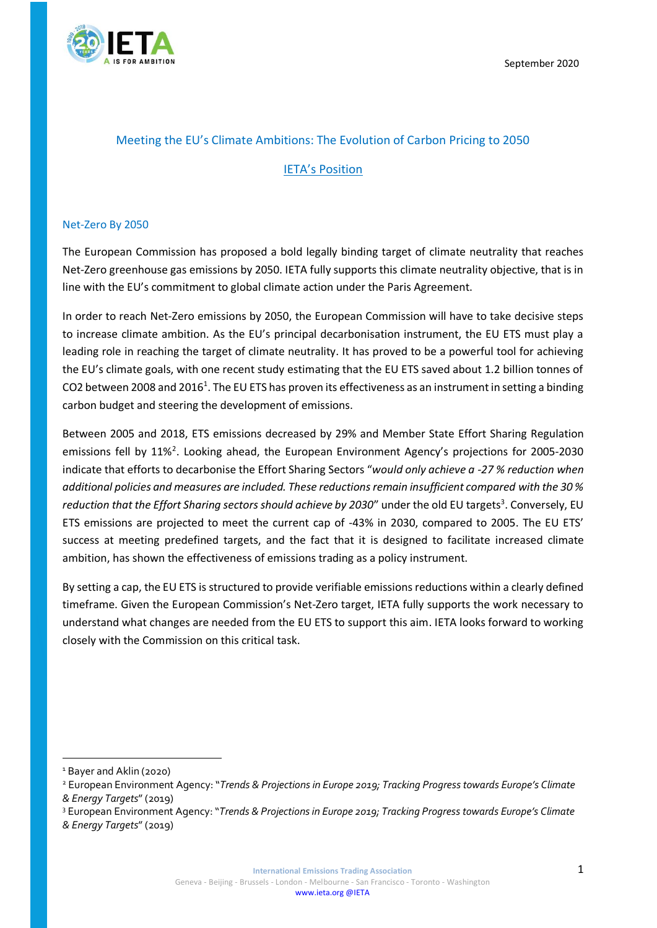

## Meeting the EU's Climate Ambitions: The Evolution of Carbon Pricing to 2050

# IETA's Position

#### Net-Zero By 2050

The European Commission has proposed a bold legally binding target of climate neutrality that reaches Net-Zero greenhouse gas emissions by 2050. IETA fully supports this climate neutrality objective, that is in line with the EU's commitment to global climate action under the Paris Agreement.

In order to reach Net-Zero emissions by 2050, the European Commission will have to take decisive steps to increase climate ambition. As the EU's principal decarbonisation instrument, the EU ETS must play a leading role in reaching the target of climate neutrality. It has proved to be a powerful tool for achieving the EU's climate goals, with one recent study estimating that the EU ETS saved about 1.2 billion tonnes of CO2 between 2008 and 2016<sup>1</sup>. The EU ETS has proven its effectiveness as an instrument in setting a binding carbon budget and steering the development of emissions.

Between 2005 and 2018, ETS emissions decreased by 29% and Member State Effort Sharing Regulation emissions fell by 11%<sup>2</sup>. Looking ahead, the European Environment Agency's projections for 2005-2030 indicate that efforts to decarbonise the Effort Sharing Sectors "*would only achieve a -27 % reduction when additional policies and measures are included. These reductions remain insufficient compared with the 30 %*  reduction that the Effort Sharing sectors should achieve by 2030" under the old EU targets<sup>3</sup>. Conversely, EU ETS emissions are projected to meet the current cap of -43% in 2030, compared to 2005. The EU ETS' success at meeting predefined targets, and the fact that it is designed to facilitate increased climate ambition, has shown the effectiveness of emissions trading as a policy instrument.

By setting a cap, the EU ETS is structured to provide verifiable emissions reductions within a clearly defined timeframe. Given the European Commission's Net-Zero target, IETA fully supports the work necessary to understand what changes are needed from the EU ETS to support this aim. IETA looks forward to working closely with the Commission on this critical task.

<sup>&</sup>lt;sup>1</sup> Bayer and Aklin (2020)

<sup>2</sup> European Environment Agency: "*Trends & Projections in Europe 2019; Tracking Progress towards Europe's Climate & Energy Targets*" (2019)

<sup>3</sup> European Environment Agency: "*Trends & Projections in Europe 2019; Tracking Progress towards Europe's Climate & Energy Targets*" (2019)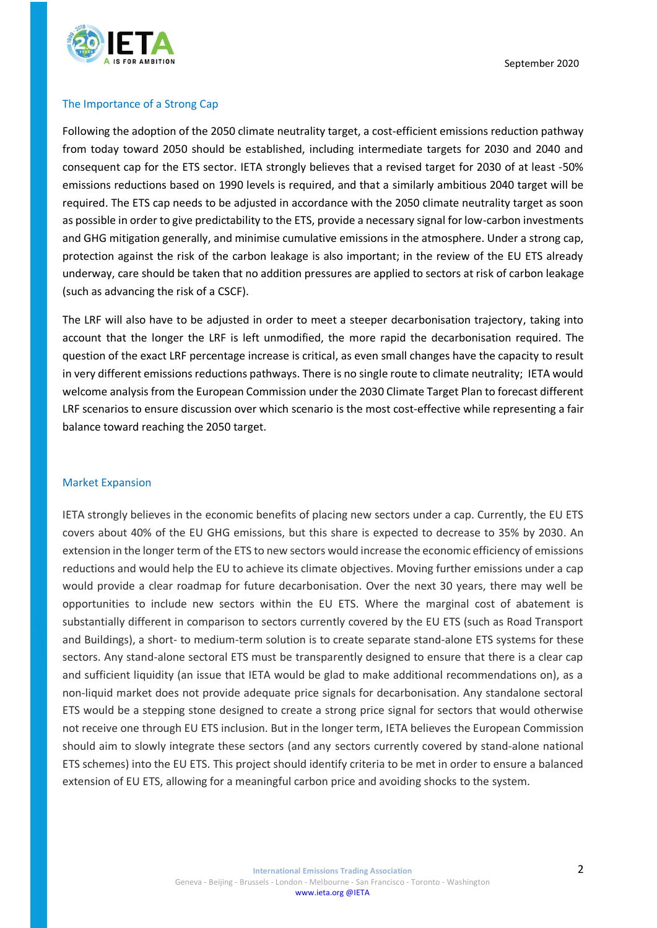

### The Importance of a Strong Cap

Following the adoption of the 2050 climate neutrality target, a cost-efficient emissions reduction pathway from today toward 2050 should be established, including intermediate targets for 2030 and 2040 and consequent cap for the ETS sector. IETA strongly believes that a revised target for 2030 of at least -50% emissions reductions based on 1990 levels is required, and that a similarly ambitious 2040 target will be required. The ETS cap needs to be adjusted in accordance with the 2050 climate neutrality target as soon as possible in order to give predictability to the ETS, provide a necessary signal for low-carbon investments and GHG mitigation generally, and minimise cumulative emissions in the atmosphere. Under a strong cap, protection against the risk of the carbon leakage is also important; in the review of the EU ETS already underway, care should be taken that no addition pressures are applied to sectors at risk of carbon leakage (such as advancing the risk of a CSCF).

The LRF will also have to be adjusted in order to meet a steeper decarbonisation trajectory, taking into account that the longer the LRF is left unmodified, the more rapid the decarbonisation required. The question of the exact LRF percentage increase is critical, as even small changes have the capacity to result in very different emissions reductions pathways. There is no single route to climate neutrality; IETA would welcome analysis from the European Commission under the 2030 Climate Target Plan to forecast different LRF scenarios to ensure discussion over which scenario is the most cost-effective while representing a fair balance toward reaching the 2050 target.

#### Market Expansion

IETA strongly believes in the economic benefits of placing new sectors under a cap. Currently, the EU ETS covers about 40% of the EU GHG emissions, but this share is expected to decrease to 35% by 2030. An extension in the longer term of the ETS to new sectors would increase the economic efficiency of emissions reductions and would help the EU to achieve its climate objectives. Moving further emissions under a cap would provide a clear roadmap for future decarbonisation. Over the next 30 years, there may well be opportunities to include new sectors within the EU ETS. Where the marginal cost of abatement is substantially different in comparison to sectors currently covered by the EU ETS (such as Road Transport and Buildings), a short- to medium-term solution is to create separate stand-alone ETS systems for these sectors. Any stand-alone sectoral ETS must be transparently designed to ensure that there is a clear cap and sufficient liquidity (an issue that IETA would be glad to make additional recommendations on), as a non-liquid market does not provide adequate price signals for decarbonisation. Any standalone sectoral ETS would be a stepping stone designed to create a strong price signal for sectors that would otherwise not receive one through EU ETS inclusion. But in the longer term, IETA believes the European Commission should aim to slowly integrate these sectors (and any sectors currently covered by stand-alone national ETS schemes) into the EU ETS. This project should identify criteria to be met in order to ensure a balanced extension of EU ETS, allowing for a meaningful carbon price and avoiding shocks to the system.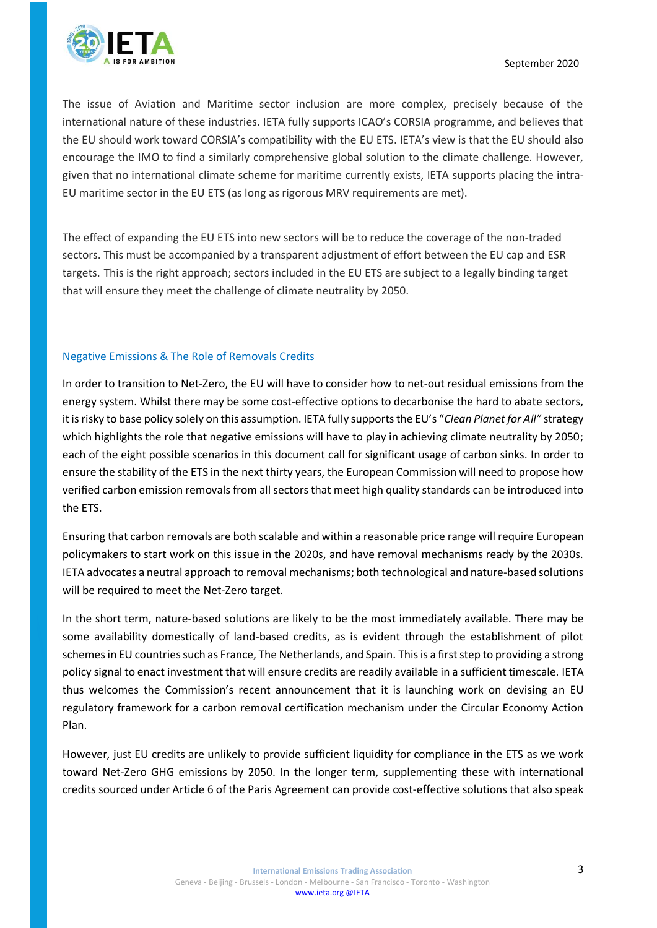

The issue of Aviation and Maritime sector inclusion are more complex, precisely because of the international nature of these industries. IETA fully supports ICAO's CORSIA programme, and believes that the EU should work toward CORSIA's compatibility with the EU ETS. IETA's view is that the EU should also encourage the IMO to find a similarly comprehensive global solution to the climate challenge. However, given that no international climate scheme for maritime currently exists, IETA supports placing the intra-EU maritime sector in the EU ETS (as long as rigorous MRV requirements are met).

The effect of expanding the EU ETS into new sectors will be to reduce the coverage of the non-traded sectors. This must be accompanied by a transparent adjustment of effort between the EU cap and ESR targets. This is the right approach; sectors included in the EU ETS are subject to a legally binding target that will ensure they meet the challenge of climate neutrality by 2050.

# Negative Emissions & The Role of Removals Credits

In order to transition to Net-Zero, the EU will have to consider how to net-out residual emissions from the energy system. Whilst there may be some cost-effective options to decarbonise the hard to abate sectors, it is risky to base policy solely on this assumption. IETA fully supports the EU's "*Clean Planet for All"* strategy which highlights the role that negative emissions will have to play in achieving climate neutrality by 2050; each of the eight possible scenarios in this document call for significant usage of carbon sinks. In order to ensure the stability of the ETS in the next thirty years, the European Commission will need to propose how verified carbon emission removals from all sectors that meet high quality standards can be introduced into the ETS.

Ensuring that carbon removals are both scalable and within a reasonable price range will require European policymakers to start work on this issue in the 2020s, and have removal mechanisms ready by the 2030s. IETA advocates a neutral approach to removal mechanisms; both technological and nature-based solutions will be required to meet the Net-Zero target.

In the short term, nature-based solutions are likely to be the most immediately available. There may be some availability domestically of land-based credits, as is evident through the establishment of pilot schemes in EU countries such as France, The Netherlands, and Spain. This is a first step to providing a strong policy signal to enact investment that will ensure credits are readily available in a sufficient timescale. IETA thus welcomes the Commission's recent announcement that it is launching work on devising an EU regulatory framework for a carbon removal certification mechanism under the Circular Economy Action Plan.

However, just EU credits are unlikely to provide sufficient liquidity for compliance in the ETS as we work toward Net-Zero GHG emissions by 2050. In the longer term, supplementing these with international credits sourced under Article 6 of the Paris Agreement can provide cost-effective solutions that also speak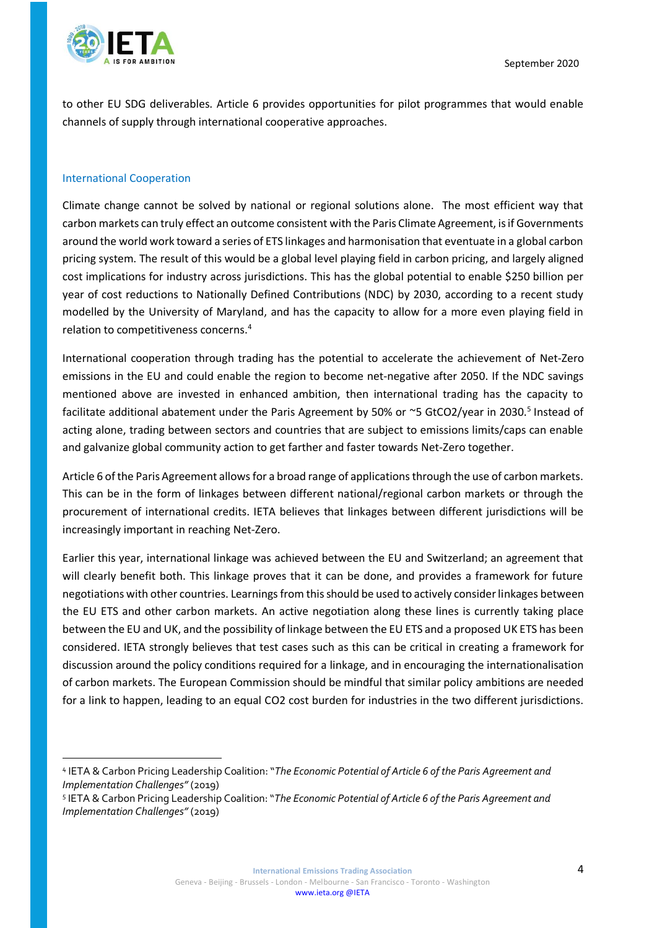

to other EU SDG deliverables. Article 6 provides opportunities for pilot programmes that would enable channels of supply through international cooperative approaches.

### International Cooperation

Climate change cannot be solved by national or regional solutions alone. The most efficient way that carbon markets can truly effect an outcome consistent with the Paris Climate Agreement, is if Governments around the world work toward a series of ETS linkages and harmonisation that eventuate in a global carbon pricing system. The result of this would be a global level playing field in carbon pricing, and largely aligned cost implications for industry across jurisdictions. This has the global potential to enable \$250 billion per year of cost reductions to Nationally Defined Contributions (NDC) by 2030, according to a recent study modelled by the University of Maryland, and has the capacity to allow for a more even playing field in relation to competitiveness concerns.<sup>4</sup>

International cooperation through trading has the potential to accelerate the achievement of Net-Zero emissions in the EU and could enable the region to become net-negative after 2050. If the NDC savings mentioned above are invested in enhanced ambition, then international trading has the capacity to facilitate additional abatement under the Paris Agreement by 50% or ~5 GtCO2/year in 2030.<sup>5</sup> Instead of acting alone, trading between sectors and countries that are subject to emissions limits/caps can enable and galvanize global community action to get farther and faster towards Net-Zero together.

Article 6 of the Paris Agreement allows for a broad range of applications through the use of carbon markets. This can be in the form of linkages between different national/regional carbon markets or through the procurement of international credits. IETA believes that linkages between different jurisdictions will be increasingly important in reaching Net-Zero.

Earlier this year, international linkage was achieved between the EU and Switzerland; an agreement that will clearly benefit both. This linkage proves that it can be done, and provides a framework for future negotiations with other countries. Learnings from this should be used to actively consider linkages between the EU ETS and other carbon markets. An active negotiation along these lines is currently taking place between the EU and UK, and the possibility of linkage between the EU ETS and a proposed UK ETS has been considered. IETA strongly believes that test cases such as this can be critical in creating a framework for discussion around the policy conditions required for a linkage, and in encouraging the internationalisation of carbon markets. The European Commission should be mindful that similar policy ambitions are needed for a link to happen, leading to an equal CO2 cost burden for industries in the two different jurisdictions.

<sup>4</sup> IETA & Carbon Pricing Leadership Coalition: "*The Economic Potential of Article 6 of the Paris Agreement and Implementation Challenges"* (2019)

<sup>5</sup> IETA & Carbon Pricing Leadership Coalition: "*The Economic Potential of Article 6 of the Paris Agreement and Implementation Challenges"* (2019)